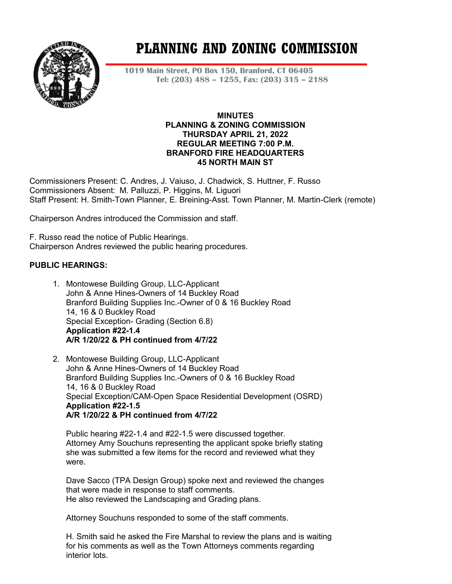

# **PLANNING AND ZONING COMMISSION**

**1019 Main Street, PO Box 150, Branford, CT 06405 Tel: (203) 488 – 1255, Fax: (203) 315 – 2188**

## **MINUTES PLANNING & ZONING COMMISSION THURSDAY APRIL 21, 2022 REGULAR MEETING 7:00 P.M. BRANFORD FIRE HEADQUARTERS 45 NORTH MAIN ST**

Commissioners Present: C. Andres, J. Vaiuso, J. Chadwick, S. Huttner, F. Russo Commissioners Absent: M. Palluzzi, P. Higgins, M. Liguori Staff Present: H. Smith-Town Planner, E. Breining-Asst. Town Planner, M. Martin-Clerk (remote)

Chairperson Andres introduced the Commission and staff.

F. Russo read the notice of Public Hearings. Chairperson Andres reviewed the public hearing procedures.

## **PUBLIC HEARINGS:**

- 1. Montowese Building Group, LLC-Applicant John & Anne Hines-Owners of 14 Buckley Road Branford Building Supplies Inc.-Owner of 0 & 16 Buckley Road 14, 16 & 0 Buckley Road Special Exception- Grading (Section 6.8) **Application #22-1.4 A/R 1/20/22 & PH continued from 4/7/22**
- 2. Montowese Building Group, LLC-Applicant John & Anne Hines-Owners of 14 Buckley Road Branford Building Supplies Inc.-Owners of 0 & 16 Buckley Road 14, 16 & 0 Buckley Road Special Exception/CAM-Open Space Residential Development (OSRD) **Application #22-1.5 A/R 1/20/22 & PH continued from 4/7/22**

Public hearing #22-1.4 and #22-1.5 were discussed together. Attorney Amy Souchuns representing the applicant spoke briefly stating she was submitted a few items for the record and reviewed what they were.

Dave Sacco (TPA Design Group) spoke next and reviewed the changes that were made in response to staff comments. He also reviewed the Landscaping and Grading plans.

Attorney Souchuns responded to some of the staff comments.

H. Smith said he asked the Fire Marshal to review the plans and is waiting for his comments as well as the Town Attorneys comments regarding interior lots.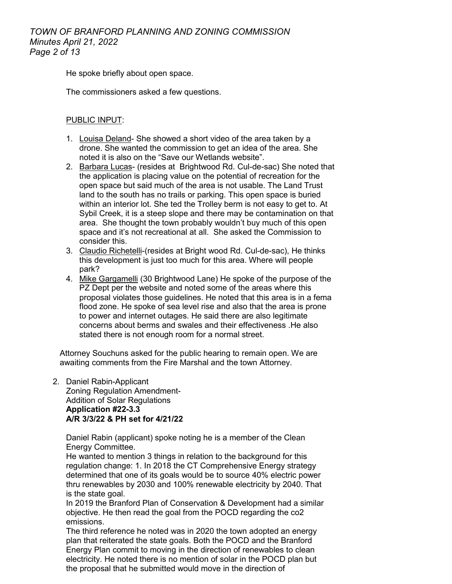He spoke briefly about open space.

The commissioners asked a few questions.

## PUBLIC INPUT:

- 1. Louisa Deland- She showed a short video of the area taken by a drone. She wanted the commission to get an idea of the area. She noted it is also on the "Save our Wetlands website".
- 2. Barbara Lucas- (resides at Brightwood Rd. Cul-de-sac) She noted that the application is placing value on the potential of recreation for the open space but said much of the area is not usable. The Land Trust land to the south has no trails or parking. This open space is buried within an interior lot. She ted the Trolley berm is not easy to get to. At Sybil Creek, it is a steep slope and there may be contamination on that area. She thought the town probably wouldn't buy much of this open space and it's not recreational at all. She asked the Commission to consider this.
- 3. Claudio Richetelli-(resides at Bright wood Rd. Cul-de-sac), He thinks this development is just too much for this area. Where will people park?
- 4. Mike Gargamelli (30 Brightwood Lane) He spoke of the purpose of the PZ Dept per the website and noted some of the areas where this proposal violates those guidelines. He noted that this area is in a fema flood zone. He spoke of sea level rise and also that the area is prone to power and internet outages. He said there are also legitimate concerns about berms and swales and their effectiveness .He also stated there is not enough room for a normal street.

Attorney Souchuns asked for the public hearing to remain open. We are awaiting comments from the Fire Marshal and the town Attorney.

## 2. Daniel Rabin-Applicant Zoning Regulation Amendment-

Addition of Solar Regulations **Application #22-3.3 A/R 3/3/22 & PH set for 4/21/22**

Daniel Rabin (applicant) spoke noting he is a member of the Clean Energy Committee.

He wanted to mention 3 things in relation to the background for this regulation change: 1. In 2018 the CT Comprehensive Energy strategy determined that one of its goals would be to source 40% electric power thru renewables by 2030 and 100% renewable electricity by 2040. That is the state goal.

In 2019 the Branford Plan of Conservation & Development had a similar objective. He then read the goal from the POCD regarding the co2 emissions.

The third reference he noted was in 2020 the town adopted an energy plan that reiterated the state goals. Both the POCD and the Branford Energy Plan commit to moving in the direction of renewables to clean electricity. He noted there is no mention of solar in the POCD plan but the proposal that he submitted would move in the direction of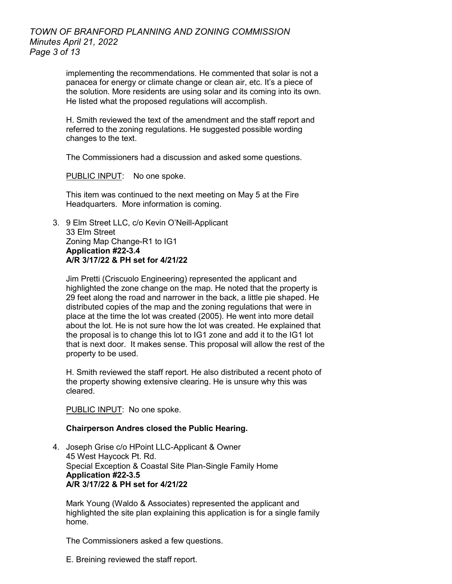## *TOWN OF BRANFORD PLANNING AND ZONING COMMISSION Minutes April 21, 2022 Page 3 of 13*

implementing the recommendations. He commented that solar is not a panacea for energy or climate change or clean air, etc. It's a piece of the solution. More residents are using solar and its coming into its own. He listed what the proposed regulations will accomplish.

H. Smith reviewed the text of the amendment and the staff report and referred to the zoning regulations. He suggested possible wording changes to the text.

The Commissioners had a discussion and asked some questions.

PUBLIC INPUT: No one spoke.

This item was continued to the next meeting on May 5 at the Fire Headquarters. More information is coming.

3. 9 Elm Street LLC, c/o Kevin O'Neill-Applicant 33 Elm Street Zoning Map Change-R1 to IG1 **Application #22-3.4 A/R 3/17/22 & PH set for 4/21/22**

Jim Pretti (Criscuolo Engineering) represented the applicant and highlighted the zone change on the map. He noted that the property is 29 feet along the road and narrower in the back, a little pie shaped. He distributed copies of the map and the zoning regulations that were in place at the time the lot was created (2005). He went into more detail about the lot. He is not sure how the lot was created. He explained that the proposal is to change this lot to IG1 zone and add it to the IG1 lot that is next door. It makes sense. This proposal will allow the rest of the property to be used.

H. Smith reviewed the staff report. He also distributed a recent photo of the property showing extensive clearing. He is unsure why this was cleared.

PUBLIC INPUT: No one spoke.

#### **Chairperson Andres closed the Public Hearing.**

4. Joseph Grise c/o HPoint LLC-Applicant & Owner 45 West Haycock Pt. Rd. Special Exception & Coastal Site Plan-Single Family Home **Application #22-3.5 A/R 3/17/22 & PH set for 4/21/22**

Mark Young (Waldo & Associates) represented the applicant and highlighted the site plan explaining this application is for a single family home.

The Commissioners asked a few questions.

E. Breining reviewed the staff report.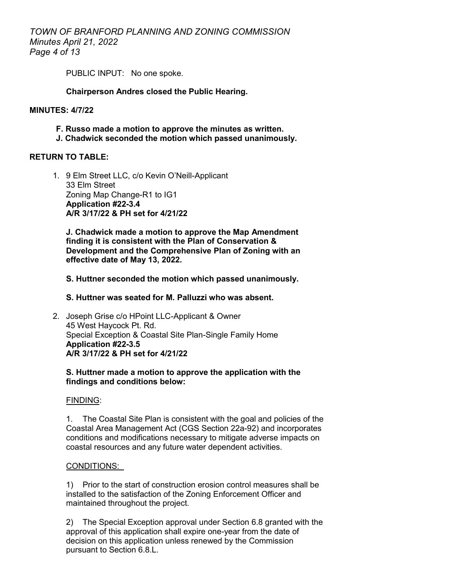*TOWN OF BRANFORD PLANNING AND ZONING COMMISSION Minutes April 21, 2022 Page 4 of 13*

PUBLIC INPUT: No one spoke.

### **Chairperson Andres closed the Public Hearing.**

## **MINUTES: 4/7/22**

- **F. Russo made a motion to approve the minutes as written.**
- **J. Chadwick seconded the motion which passed unanimously.**

## **RETURN TO TABLE:**

1. 9 Elm Street LLC, c/o Kevin O'Neill-Applicant 33 Elm Street Zoning Map Change-R1 to IG1 **Application #22-3.4 A/R 3/17/22 & PH set for 4/21/22**

**J. Chadwick made a motion to approve the Map Amendment finding it is consistent with the Plan of Conservation & Development and the Comprehensive Plan of Zoning with an effective date of May 13, 2022.**

#### **S. Huttner seconded the motion which passed unanimously.**

## **S. Huttner was seated for M. Palluzzi who was absent.**

2. Joseph Grise c/o HPoint LLC-Applicant & Owner 45 West Haycock Pt. Rd. Special Exception & Coastal Site Plan-Single Family Home **Application #22-3.5 A/R 3/17/22 & PH set for 4/21/22**

#### **S. Huttner made a motion to approve the application with the findings and conditions below:**

#### FINDING:

1. The Coastal Site Plan is consistent with the goal and policies of the Coastal Area Management Act (CGS Section 22a-92) and incorporates conditions and modifications necessary to mitigate adverse impacts on coastal resources and any future water dependent activities.

#### CONDITIONS:

1) Prior to the start of construction erosion control measures shall be installed to the satisfaction of the Zoning Enforcement Officer and maintained throughout the project.

2) The Special Exception approval under Section 6.8 granted with the approval of this application shall expire one-year from the date of decision on this application unless renewed by the Commission pursuant to Section 6.8.L.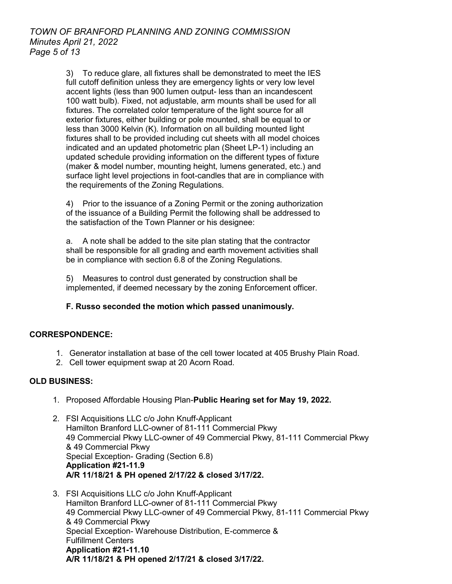3) To reduce glare, all fixtures shall be demonstrated to meet the IES full cutoff definition unless they are emergency lights or very low level accent lights (less than 900 lumen output- less than an incandescent 100 watt bulb). Fixed, not adjustable, arm mounts shall be used for all fixtures. The correlated color temperature of the light source for all exterior fixtures, either building or pole mounted, shall be equal to or less than 3000 Kelvin (K). Information on all building mounted light fixtures shall to be provided including cut sheets with all model choices indicated and an updated photometric plan (Sheet LP-1) including an updated schedule providing information on the different types of fixture (maker & model number, mounting height, lumens generated, etc.) and surface light level projections in foot-candles that are in compliance with the requirements of the Zoning Regulations.

4) Prior to the issuance of a Zoning Permit or the zoning authorization of the issuance of a Building Permit the following shall be addressed to the satisfaction of the Town Planner or his designee:

a. A note shall be added to the site plan stating that the contractor shall be responsible for all grading and earth movement activities shall be in compliance with section 6.8 of the Zoning Regulations.

5) Measures to control dust generated by construction shall be implemented, if deemed necessary by the zoning Enforcement officer.

## **F. Russo seconded the motion which passed unanimously.**

## **CORRESPONDENCE:**

- 1. Generator installation at base of the cell tower located at 405 Brushy Plain Road.
- 2. Cell tower equipment swap at 20 Acorn Road.

## **OLD BUSINESS:**

- 1. Proposed Affordable Housing Plan-**Public Hearing set for May 19, 2022.**
- 2. FSI Acquisitions LLC c/o John Knuff-Applicant Hamilton Branford LLC-owner of 81-111 Commercial Pkwy 49 Commercial Pkwy LLC-owner of 49 Commercial Pkwy, 81-111 Commercial Pkwy & 49 Commercial Pkwy Special Exception- Grading (Section 6.8) **Application #21-11.9 A/R 11/18/21 & PH opened 2/17/22 & closed 3/17/22.**
- 3. FSI Acquisitions LLC c/o John Knuff-Applicant Hamilton Branford LLC-owner of 81-111 Commercial Pkwy 49 Commercial Pkwy LLC-owner of 49 Commercial Pkwy, 81-111 Commercial Pkwy & 49 Commercial Pkwy Special Exception- Warehouse Distribution, E-commerce & Fulfillment Centers **Application #21-11.10 A/R 11/18/21 & PH opened 2/17/21 & closed 3/17/22.**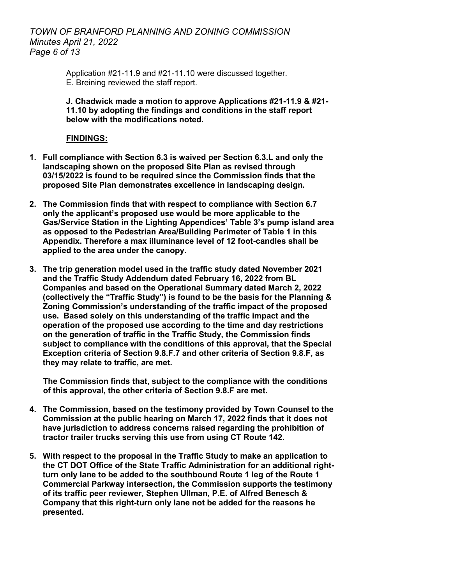## *TOWN OF BRANFORD PLANNING AND ZONING COMMISSION Minutes April 21, 2022 Page 6 of 13*

Application #21-11.9 and #21-11.10 were discussed together. E. Breining reviewed the staff report.

**J. Chadwick made a motion to approve Applications #21-11.9 & #21- 11.10 by adopting the findings and conditions in the staff report below with the modifications noted.**

## **FINDINGS:**

- **1. Full compliance with Section 6.3 is waived per Section 6.3.L and only the landscaping shown on the proposed Site Plan as revised through 03/15/2022 is found to be required since the Commission finds that the proposed Site Plan demonstrates excellence in landscaping design.**
- **2. The Commission finds that with respect to compliance with Section 6.7 only the applicant's proposed use would be more applicable to the Gas/Service Station in the Lighting Appendices' Table 3's pump island area as opposed to the Pedestrian Area/Building Perimeter of Table 1 in this Appendix. Therefore a max illuminance level of 12 foot-candles shall be applied to the area under the canopy.**
- **3. The trip generation model used in the traffic study dated November 2021 and the Traffic Study Addendum dated February 16, 2022 from BL Companies and based on the Operational Summary dated March 2, 2022 (collectively the "Traffic Study") is found to be the basis for the Planning & Zoning Commission's understanding of the traffic impact of the proposed use. Based solely on this understanding of the traffic impact and the operation of the proposed use according to the time and day restrictions on the generation of traffic in the Traffic Study, the Commission finds subject to compliance with the conditions of this approval, that the Special Exception criteria of Section 9.8.F.7 and other criteria of Section 9.8.F, as they may relate to traffic, are met.**

 **The Commission finds that, subject to the compliance with the conditions of this approval, the other criteria of Section 9.8.F are met.**

- **4. The Commission, based on the testimony provided by Town Counsel to the Commission at the public hearing on March 17, 2022 finds that it does not have jurisdiction to address concerns raised regarding the prohibition of tractor trailer trucks serving this use from using CT Route 142.**
- **5. With respect to the proposal in the Traffic Study to make an application to the CT DOT Office of the State Traffic Administration for an additional rightturn only lane to be added to the southbound Route 1 leg of the Route 1 Commercial Parkway intersection, the Commission supports the testimony of its traffic peer reviewer, Stephen Ullman, P.E. of Alfred Benesch & Company that this right-turn only lane not be added for the reasons he presented.**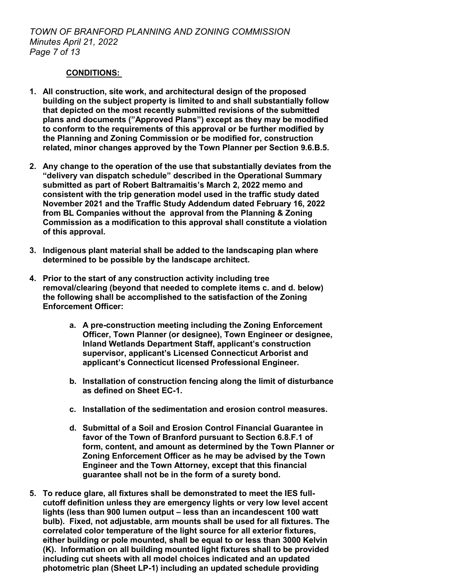## **CONDITIONS:**

- **1. All construction, site work, and architectural design of the proposed building on the subject property is limited to and shall substantially follow that depicted on the most recently submitted revisions of the submitted plans and documents ("Approved Plans") except as they may be modified to conform to the requirements of this approval or be further modified by the Planning and Zoning Commission or be modified for, construction related, minor changes approved by the Town Planner per Section 9.6.B.5.**
- **2. Any change to the operation of the use that substantially deviates from the "delivery van dispatch schedule" described in the Operational Summary submitted as part of Robert Baltramaitis's March 2, 2022 memo and consistent with the trip generation model used in the traffic study dated November 2021 and the Traffic Study Addendum dated February 16, 2022 from BL Companies without the approval from the Planning & Zoning Commission as a modification to this approval shall constitute a violation of this approval.**
- **3. Indigenous plant material shall be added to the landscaping plan where determined to be possible by the landscape architect.**
- **4. Prior to the start of any construction activity including tree removal/clearing (beyond that needed to complete items c. and d. below) the following shall be accomplished to the satisfaction of the Zoning Enforcement Officer:**
	- **a. A pre-construction meeting including the Zoning Enforcement Officer, Town Planner (or designee), Town Engineer or designee, Inland Wetlands Department Staff, applicant's construction supervisor, applicant's Licensed Connecticut Arborist and applicant's Connecticut licensed Professional Engineer.**
	- **b. Installation of construction fencing along the limit of disturbance as defined on Sheet EC-1.**
	- **c. Installation of the sedimentation and erosion control measures.**
	- **d. Submittal of a Soil and Erosion Control Financial Guarantee in favor of the Town of Branford pursuant to Section 6.8.F.1 of form, content, and amount as determined by the Town Planner or Zoning Enforcement Officer as he may be advised by the Town Engineer and the Town Attorney, except that this financial guarantee shall not be in the form of a surety bond.**
- **5. To reduce glare, all fixtures shall be demonstrated to meet the IES fullcutoff definition unless they are emergency lights or very low level accent lights (less than 900 lumen output – less than an incandescent 100 watt bulb). Fixed, not adjustable, arm mounts shall be used for all fixtures. The correlated color temperature of the light source for all exterior fixtures, either building or pole mounted, shall be equal to or less than 3000 Kelvin (K). Information on all building mounted light fixtures shall to be provided including cut sheets with all model choices indicated and an updated photometric plan (Sheet LP-1) including an updated schedule providing**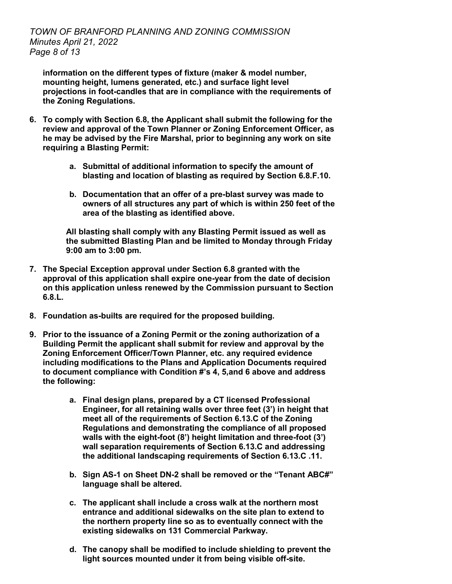**information on the different types of fixture (maker & model number, mounting height, lumens generated, etc.) and surface light level projections in foot-candles that are in compliance with the requirements of the Zoning Regulations.**

- **6. To comply with Section 6.8, the Applicant shall submit the following for the review and approval of the Town Planner or Zoning Enforcement Officer, as he may be advised by the Fire Marshal, prior to beginning any work on site requiring a Blasting Permit:**
	- **a. Submittal of additional information to specify the amount of blasting and location of blasting as required by Section 6.8.F.10.**
	- **b. Documentation that an offer of a pre-blast survey was made to owners of all structures any part of which is within 250 feet of the area of the blasting as identified above.**

**All blasting shall comply with any Blasting Permit issued as well as the submitted Blasting Plan and be limited to Monday through Friday 9:00 am to 3:00 pm.**

- **7. The Special Exception approval under Section 6.8 granted with the approval of this application shall expire one-year from the date of decision on this application unless renewed by the Commission pursuant to Section 6.8.L.**
- **8. Foundation as-builts are required for the proposed building.**
- **9. Prior to the issuance of a Zoning Permit or the zoning authorization of a Building Permit the applicant shall submit for review and approval by the Zoning Enforcement Officer/Town Planner, etc. any required evidence including modifications to the Plans and Application Documents required to document compliance with Condition #'s 4, 5,and 6 above and address the following:**
	- **a. Final design plans, prepared by a CT licensed Professional Engineer, for all retaining walls over three feet (3') in height that meet all of the requirements of Section 6.13.C of the Zoning Regulations and demonstrating the compliance of all proposed walls with the eight-foot (8') height limitation and three-foot (3') wall separation requirements of Section 6.13.C and addressing the additional landscaping requirements of Section 6.13.C .11.**
	- **b. Sign AS-1 on Sheet DN-2 shall be removed or the "Tenant ABC#" language shall be altered.**
	- **c. The applicant shall include a cross walk at the northern most entrance and additional sidewalks on the site plan to extend to the northern property line so as to eventually connect with the existing sidewalks on 131 Commercial Parkway.**
	- **d. The canopy shall be modified to include shielding to prevent the light sources mounted under it from being visible off-site.**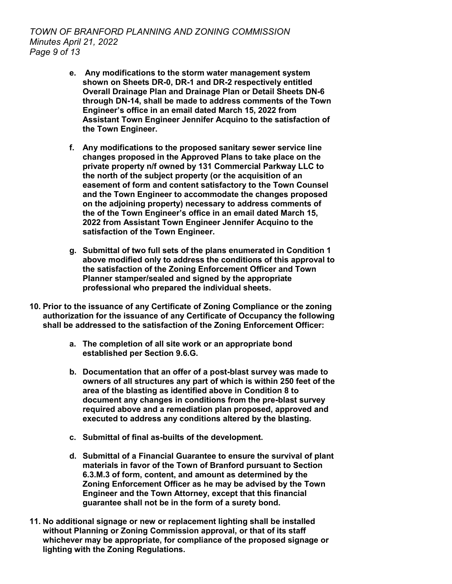*TOWN OF BRANFORD PLANNING AND ZONING COMMISSION Minutes April 21, 2022 Page 9 of 13*

- **e. Any modifications to the storm water management system shown on Sheets DR-0, DR-1 and DR-2 respectively entitled Overall Drainage Plan and Drainage Plan or Detail Sheets DN-6 through DN-14, shall be made to address comments of the Town Engineer's office in an email dated March 15, 2022 from Assistant Town Engineer Jennifer Acquino to the satisfaction of the Town Engineer.**
- **f. Any modifications to the proposed sanitary sewer service line changes proposed in the Approved Plans to take place on the private property n/f owned by 131 Commercial Parkway LLC to the north of the subject property (or the acquisition of an easement of form and content satisfactory to the Town Counsel and the Town Engineer to accommodate the changes proposed on the adjoining property) necessary to address comments of the of the Town Engineer's office in an email dated March 15, 2022 from Assistant Town Engineer Jennifer Acquino to the satisfaction of the Town Engineer.**
- **g. Submittal of two full sets of the plans enumerated in Condition 1 above modified only to address the conditions of this approval to the satisfaction of the Zoning Enforcement Officer and Town Planner stamper/sealed and signed by the appropriate professional who prepared the individual sheets.**
- **10. Prior to the issuance of any Certificate of Zoning Compliance or the zoning authorization for the issuance of any Certificate of Occupancy the following shall be addressed to the satisfaction of the Zoning Enforcement Officer:**
	- **a. The completion of all site work or an appropriate bond established per Section 9.6.G.**
	- **b. Documentation that an offer of a post-blast survey was made to owners of all structures any part of which is within 250 feet of the area of the blasting as identified above in Condition 8 to document any changes in conditions from the pre-blast survey required above and a remediation plan proposed, approved and executed to address any conditions altered by the blasting.**
	- **c. Submittal of final as-builts of the development.**
	- **d. Submittal of a Financial Guarantee to ensure the survival of plant materials in favor of the Town of Branford pursuant to Section 6.3.M.3 of form, content, and amount as determined by the Zoning Enforcement Officer as he may be advised by the Town Engineer and the Town Attorney, except that this financial guarantee shall not be in the form of a surety bond.**
- **11. No additional signage or new or replacement lighting shall be installed without Planning or Zoning Commission approval, or that of its staff whichever may be appropriate, for compliance of the proposed signage or lighting with the Zoning Regulations.**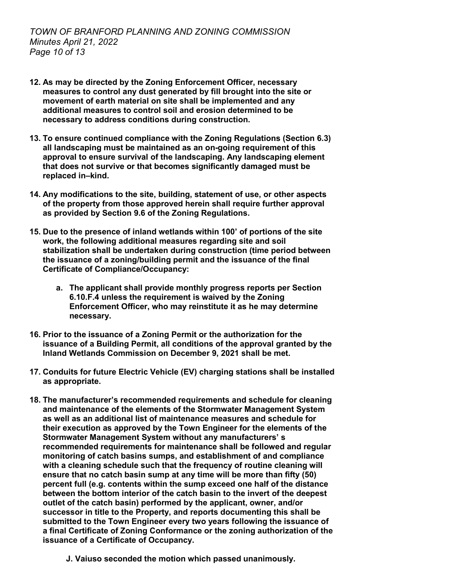- **12. As may be directed by the Zoning Enforcement Officer, necessary measures to control any dust generated by fill brought into the site or movement of earth material on site shall be implemented and any additional measures to control soil and erosion determined to be necessary to address conditions during construction.**
- **13. To ensure continued compliance with the Zoning Regulations (Section 6.3) all landscaping must be maintained as an on-going requirement of this approval to ensure survival of the landscaping. Any landscaping element that does not survive or that becomes significantly damaged must be replaced in–kind.**
- **14. Any modifications to the site, building, statement of use, or other aspects of the property from those approved herein shall require further approval as provided by Section 9.6 of the Zoning Regulations.**
- **15. Due to the presence of inland wetlands within 100' of portions of the site work, the following additional measures regarding site and soil stabilization shall be undertaken during construction (time period between the issuance of a zoning/building permit and the issuance of the final Certificate of Compliance/Occupancy:**
	- **a. The applicant shall provide monthly progress reports per Section 6.10.F.4 unless the requirement is waived by the Zoning Enforcement Officer, who may reinstitute it as he may determine necessary.**
- **16. Prior to the issuance of a Zoning Permit or the authorization for the issuance of a Building Permit, all conditions of the approval granted by the Inland Wetlands Commission on December 9, 2021 shall be met.**
- **17. Conduits for future Electric Vehicle (EV) charging stations shall be installed as appropriate.**
- **18. The manufacturer's recommended requirements and schedule for cleaning and maintenance of the elements of the Stormwater Management System as well as an additional list of maintenance measures and schedule for their execution as approved by the Town Engineer for the elements of the Stormwater Management System without any manufacturers' s recommended requirements for maintenance shall be followed and regular monitoring of catch basins sumps, and establishment of and compliance with a cleaning schedule such that the frequency of routine cleaning will ensure that no catch basin sump at any time will be more than fifty (50) percent full (e.g. contents within the sump exceed one half of the distance between the bottom interior of the catch basin to the invert of the deepest outlet of the catch basin) performed by the applicant, owner, and/or successor in title to the Property, and reports documenting this shall be submitted to the Town Engineer every two years following the issuance of a final Certificate of Zoning Conformance or the zoning authorization of the issuance of a Certificate of Occupancy.**
	- **J. Vaiuso seconded the motion which passed unanimously.**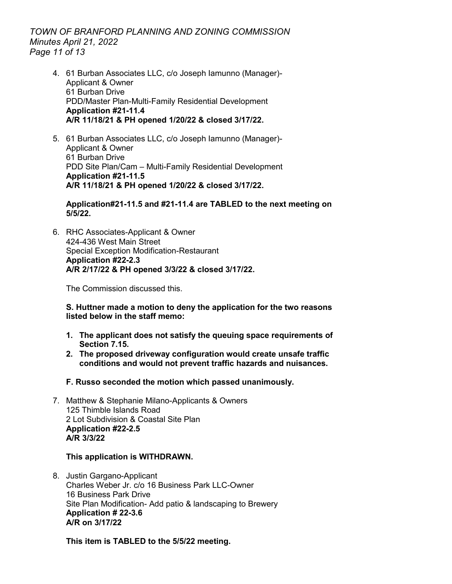## *TOWN OF BRANFORD PLANNING AND ZONING COMMISSION Minutes April 21, 2022 Page 11 of 13*

- 4. 61 Burban Associates LLC, c/o Joseph Iamunno (Manager)- Applicant & Owner 61 Burban Drive PDD/Master Plan-Multi-Family Residential Development **Application #21-11.4 A/R 11/18/21 & PH opened 1/20/22 & closed 3/17/22.**
- 5. 61 Burban Associates LLC, c/o Joseph Iamunno (Manager)- Applicant & Owner 61 Burban Drive PDD Site Plan/Cam – Multi-Family Residential Development **Application #21-11.5 A/R 11/18/21 & PH opened 1/20/22 & closed 3/17/22.**

**Application#21-11.5 and #21-11.4 are TABLED to the next meeting on 5/5/22.**

6. RHC Associates-Applicant & Owner 424-436 West Main Street Special Exception Modification-Restaurant **Application #22-2.3 A/R 2/17/22 & PH opened 3/3/22 & closed 3/17/22.**

The Commission discussed this.

**S. Huttner made a motion to deny the application for the two reasons listed below in the staff memo:** 

- **1. The applicant does not satisfy the queuing space requirements of Section 7.15.**
- **2. The proposed driveway configuration would create unsafe traffic conditions and would not prevent traffic hazards and nuisances.**
- **F. Russo seconded the motion which passed unanimously.**
- 7. Matthew & Stephanie Milano-Applicants & Owners 125 Thimble Islands Road 2 Lot Subdivision & Coastal Site Plan **Application #22-2.5 A/R 3/3/22**

#### **This application is WITHDRAWN.**

8. Justin Gargano-Applicant Charles Weber Jr. c/o 16 Business Park LLC-Owner 16 Business Park Drive Site Plan Modification- Add patio & landscaping to Brewery **Application # 22-3.6 A/R on 3/17/22**

**This item is TABLED to the 5/5/22 meeting.**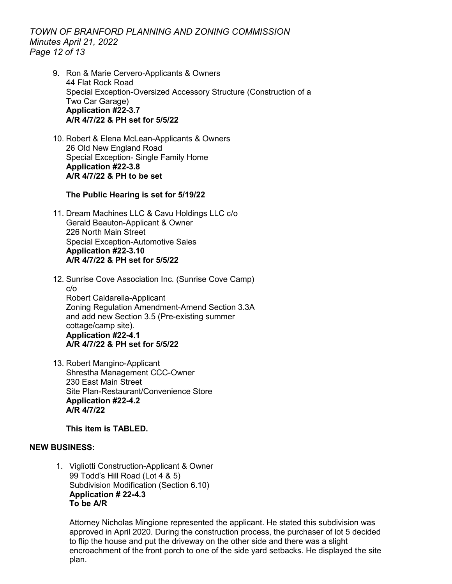*TOWN OF BRANFORD PLANNING AND ZONING COMMISSION Minutes April 21, 2022 Page 12 of 13*

- 9. Ron & Marie Cervero-Applicants & Owners 44 Flat Rock Road Special Exception-Oversized Accessory Structure (Construction of a Two Car Garage) **Application #22-3.7 A/R 4/7/22 & PH set for 5/5/22**
- 10. Robert & Elena McLean-Applicants & Owners 26 Old New England Road Special Exception- Single Family Home **Application #22-3.8 A/R 4/7/22 & PH to be set**

## **The Public Hearing is set for 5/19/22**

11. Dream Machines LLC & Cavu Holdings LLC c/o Gerald Beauton-Applicant & Owner 226 North Main Street Special Exception-Automotive Sales **Application #22-3.10 A/R 4/7/22 & PH set for 5/5/22**

12. Sunrise Cove Association Inc. (Sunrise Cove Camp) c/o Robert Caldarella-Applicant Zoning Regulation Amendment-Amend Section 3.3A and add new Section 3.5 (Pre-existing summer cottage/camp site). **Application #22-4.1 A/R 4/7/22 & PH set for 5/5/22**

13. Robert Mangino-Applicant Shrestha Management CCC-Owner 230 East Main Street Site Plan-Restaurant/Convenience Store **Application #22-4.2 A/R 4/7/22**

**This item is TABLED.**

## **NEW BUSINESS:**

1. Vigliotti Construction-Applicant & Owner 99 Todd's Hill Road (Lot 4 & 5) Subdivision Modification (Section 6.10) **Application # 22-4.3 To be A/R** 

Attorney Nicholas Mingione represented the applicant. He stated this subdivision was approved in April 2020. During the construction process, the purchaser of lot 5 decided to flip the house and put the driveway on the other side and there was a slight encroachment of the front porch to one of the side yard setbacks. He displayed the site plan.